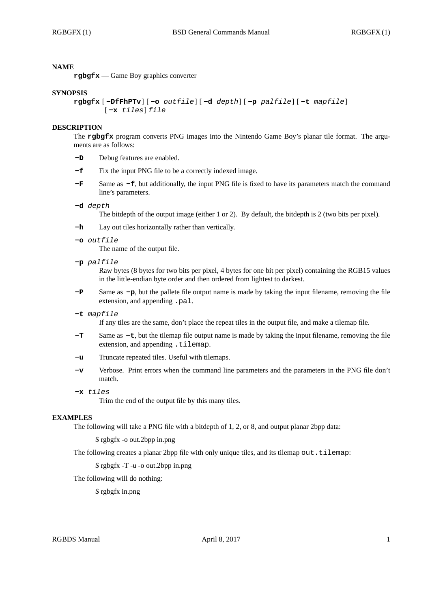## **NAME**

**rgbgfx** — Game Boy graphics converter

#### **SYNOPSIS**

```
rgbgfx [ -DfFhPTv] [ -o outfile] [ -d depth] [ -p palfile] [ -t mapfile]
[ -x tiles] file
```
### **DESCRIPTION**

The **rgbgfx** program converts PNG images into the Nintendo Game Boy's planar tile format. The arguments are as follows:

- **-D** Debug features are enabled.
- **-f** Fix the input PNG file to be a correctly indexed image.
- **-F** Same as **-f**, but additionally, the input PNG file is fixed to have its parameters match the command line's parameters.

#### **-d** *depth*

The bitdepth of the output image (either 1 or 2). By default, the bitdepth is 2 (two bits per pixel).

- **-h** Lay out tiles horizontally rather than vertically.
- **-o** *outfile*

The name of the output file.

**-p** *palfile*

Raw bytes (8 bytes for two bits per pixel, 4 bytes for one bit per pixel) containing the RGB15 values in the little-endian byte order and then ordered from lightest to darkest.

**-P** Same as **-p**, but the pallete file output name is made by taking the input filename, removing the file extension, and appending .pal.

#### **-t** *mapfile*

If any tiles are the same, don't place the repeat tiles in the output file, and make a tilemap file.

- **-T** Same as **-t**, but the tilemap file output name is made by taking the input filename, removing the file extension, and appending .tilemap.
- **-u** Truncate repeated tiles. Useful with tilemaps.
- **-v** Verbose. Print errors when the command line parameters and the parameters in the PNG file don't match.
- **-x** *tiles*

Trim the end of the output file by this many tiles.

## **EXAMPLES**

The following will take a PNG file with a bitdepth of 1, 2, or 8, and output planar 2bpp data:

\$ rgbgfx -o out.2bpp in.png

The following creates a planar 2bpp file with only unique tiles, and its tilemap out.tilemap:

\$ rgbgfx -T -u -o out.2bpp in.png

The following will do nothing:

\$ rgbgfx in.png